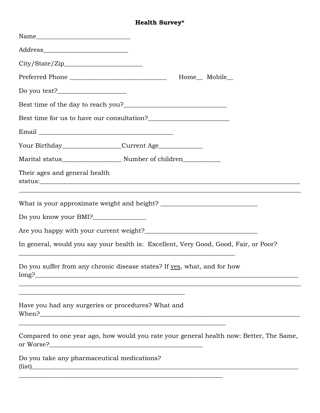## **Health Survey\***

| $\begin{tabular}{c} Name \end{tabular}$                                                                              |                                                                                                                  |                                                                                         |  |
|----------------------------------------------------------------------------------------------------------------------|------------------------------------------------------------------------------------------------------------------|-----------------------------------------------------------------------------------------|--|
|                                                                                                                      |                                                                                                                  |                                                                                         |  |
|                                                                                                                      |                                                                                                                  |                                                                                         |  |
|                                                                                                                      |                                                                                                                  | Home <sub>Mobile</sub>                                                                  |  |
|                                                                                                                      |                                                                                                                  |                                                                                         |  |
|                                                                                                                      |                                                                                                                  |                                                                                         |  |
| Best time for us to have our consultation?<br><u>Example 2016</u>                                                    |                                                                                                                  |                                                                                         |  |
|                                                                                                                      |                                                                                                                  |                                                                                         |  |
|                                                                                                                      |                                                                                                                  |                                                                                         |  |
|                                                                                                                      |                                                                                                                  |                                                                                         |  |
| Their ages and general health                                                                                        |                                                                                                                  |                                                                                         |  |
|                                                                                                                      |                                                                                                                  |                                                                                         |  |
| Do you know your BMI?________________                                                                                |                                                                                                                  |                                                                                         |  |
|                                                                                                                      |                                                                                                                  |                                                                                         |  |
| <u> 1989 - Jan James James James James James James James James James James James James James James James James J</u> |                                                                                                                  | In general, would you say your health is: Excellent, Very Good, Good, Fair, or Poor?    |  |
| Do you suffer from any chronic disease states? If yes, what, and for how                                             |                                                                                                                  | ,我们也不能会有什么。""我们的人,我们也不能会有什么?""我们的人,我们也不能会有什么?""我们的人,我们也不能会有什么?""我们的人,我们也不能会有什么?""       |  |
| Have you had any surgeries or procedures? What and                                                                   | and the control of the control of the control of the control of the control of the control of the control of the |                                                                                         |  |
|                                                                                                                      |                                                                                                                  | Compared to one year ago, how would you rate your general health now: Better, The Same, |  |
| Do you take any pharmaceutical medications?                                                                          |                                                                                                                  | (iist)                                                                                  |  |
|                                                                                                                      |                                                                                                                  |                                                                                         |  |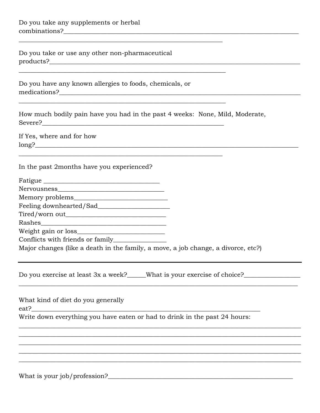Do you take or use any other non-pharmaceutical 

Do you have any known allergies to foods, chemicals, or medications?

How much bodily pain have you had in the past 4 weeks: None, Mild, Moderate, 

If Yes, where and for how  $long?$ 

In the past 2months have you experienced?

| Fatigue     |  |
|-------------|--|
| Nervousness |  |

Tired/worn out and the state of the state of the state of the state of the state of the state of the state of the state of the state of the state of the state of the state of the state of the state of the state of the stat 

Major changes (like a death in the family, a move, a job change, a divorce, etc?)

Do you exercise at least 3x a week? What is your exercise of choice?

What kind of diet do you generally

 $ext?$ 

Write down everything you have eaten or had to drink in the past 24 hours: